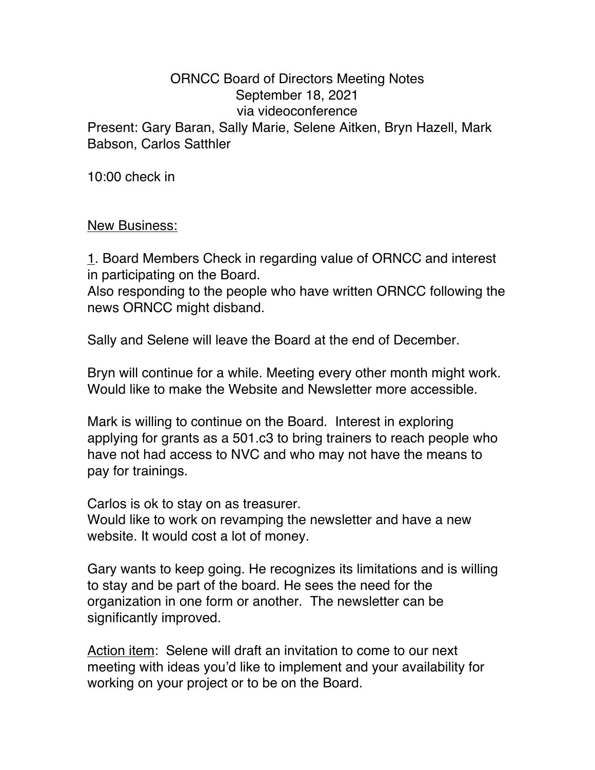## ORNCC Board of Directors Meeting Notes September 18, 2021 via videoconference Present: Gary Baran, Sally Marie, Selene Aitken, Bryn Hazell, Mark Babson, Carlos Satthler

10:00 check in

New Business:

1. Board Members Check in regarding value of ORNCC and interest in participating on the Board.

Also responding to the people who have written ORNCC following the news ORNCC might disband.

Sally and Selene will leave the Board at the end of December.

Bryn will continue for a while. Meeting every other month might work. Would like to make the Website and Newsletter more accessible.

Mark is willing to continue on the Board. Interest in exploring applying for grants as a 501.c3 to bring trainers to reach people who have not had access to NVC and who may not have the means to pay for trainings.

Carlos is ok to stay on as treasurer.

Would like to work on revamping the newsletter and have a new website. It would cost a lot of money.

Gary wants to keep going. He recognizes its limitations and is willing to stay and be part of the board. He sees the need for the organization in one form or another. The newsletter can be significantly improved.

Action item: Selene will draft an invitation to come to our next meeting with ideas you'd like to implement and your availability for working on your project or to be on the Board.